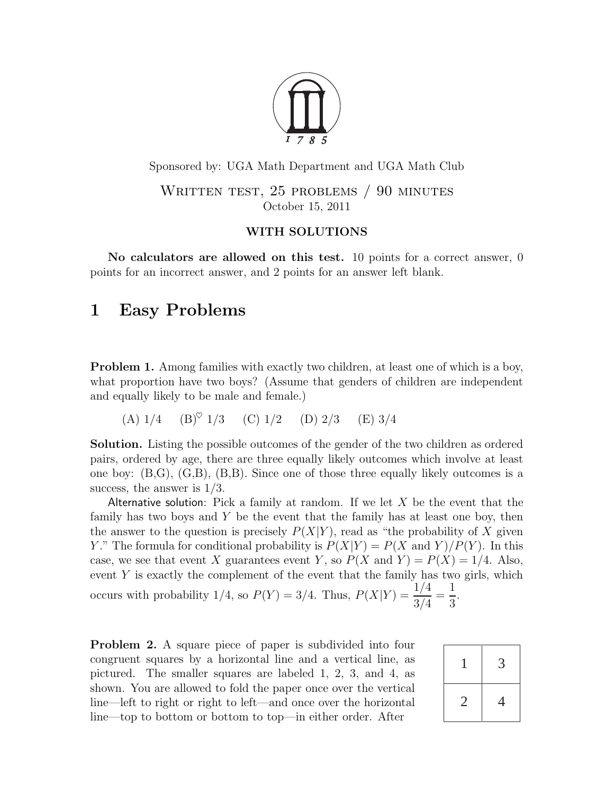

Sponsored by: UGA Math Department and UGA Math Club

WRITTEN TEST, 25 PROBLEMS / 90 MINUTES October 15, 2011

#### WITH SOLUTIONS

No calculators are allowed on this test. 10 points for a correct answer, 0 points for an incorrect answer, and 2 points for an answer left blank.

# 1 Easy Problems

<span id="page-0-0"></span>**Problem 1.** Among families with exactly two children, at least one of which is a boy, what proportion have two boys? (Assume that genders of children are independent and equally likely to be male and female.)

(A)  $1/4$  (B)<sup> $\circ$ </sup> 1/3 (C) 1/2 (D) 2/3 (E) 3/4

Solution. Listing the possible outcomes of the gender of the two children as ordered pairs, ordered by age, there are three equally likely outcomes which involve at least one boy: (B,G), (G,B), (B,B). Since one of those three equally likely outcomes is a success, the answer is 1/3.

Alternative solution: Pick a family at random. If we let  $X$  be the event that the family has two boys and  $Y$  be the event that the family has at least one boy, then the answer to the question is precisely  $P(X|Y)$ , read as "the probability of X given Y." The formula for conditional probability is  $P(X|Y) = P(X \text{ and } Y)/P(Y)$ . In this case, we see that event X guarantees event Y, so  $P(X \text{ and } Y) = P(X) = 1/4$ . Also, event  $Y$  is exactly the complement of the event that the family has two girls, which occurs with probability 1/4, so  $P(Y) = 3/4$ . Thus,  $P(X|Y) = \frac{1/4}{3/4}$ = 1 3 .

Problem 2. A square piece of paper is subdivided into four congruent squares by a horizontal line and a vertical line, as pictured. The smaller squares are labeled 1, 2, 3, and 4, as shown. You are allowed to fold the paper once over the vertical line—left to right or right to left—and once over the horizontal line—top to bottom or bottom to top—in either order. After

|   | 3              |
|---|----------------|
| 2 | $\overline{4}$ |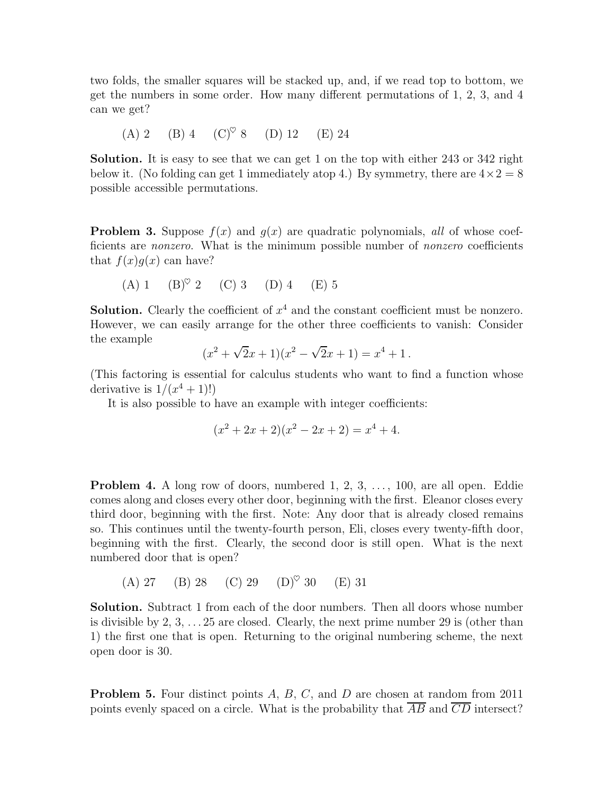two folds, the smaller squares will be stacked up, and, if we read top to bottom, we get the numbers in some order. How many different permutations of 1, 2, 3, and 4 can we get?

(A) 2 (B) 4 (C)♥ 8 (D) 12 (E) 24

Solution. It is easy to see that we can get 1 on the top with either 243 or 342 right below it. (No folding can get 1 immediately atop 4.) By symmetry, there are  $4 \times 2 = 8$ possible accessible permutations.

**Problem 3.** Suppose  $f(x)$  and  $g(x)$  are quadratic polynomials, all of whose coefficients are *nonzero*. What is the minimum possible number of *nonzero* coefficients that  $f(x)g(x)$  can have?

(A) 1 (B)♥ 2 (C) 3 (D) 4 (E) 5

**Solution.** Clearly the coefficient of  $x^4$  and the constant coefficient must be nonzero. However, we can easily arrange for the other three coefficients to vanish: Consider the example

$$
(x2 + \sqrt{2}x + 1)(x2 - \sqrt{2}x + 1) = x4 + 1.
$$

(This factoring is essential for calculus students who want to find a function whose derivative is  $1/(x^4+1)!$ 

It is also possible to have an example with integer coefficients:

$$
(x2 + 2x + 2)(x2 - 2x + 2) = x4 + 4.
$$

**Problem 4.** A long row of doors, numbered  $1, 2, 3, \ldots, 100$ , are all open. Eddie comes along and closes every other door, beginning with the first. Eleanor closes every third door, beginning with the first. Note: Any door that is already closed remains so. This continues until the twenty-fourth person, Eli, closes every twenty-fifth door, beginning with the first. Clearly, the second door is still open. What is the next numbered door that is open?

(A) 27 (B) 28 (C) 29 (D)♥ 30 (E) 31

Solution. Subtract 1 from each of the door numbers. Then all doors whose number is divisible by  $2, 3, \ldots 25$  are closed. Clearly, the next prime number 29 is (other than 1) the first one that is open. Returning to the original numbering scheme, the next open door is 30.

**Problem 5.** Four distinct points  $A, B, C$ , and  $D$  are chosen at random from 2011 points evenly spaced on a circle. What is the probability that  $\overline{AB}$  and  $\overline{CD}$  intersect?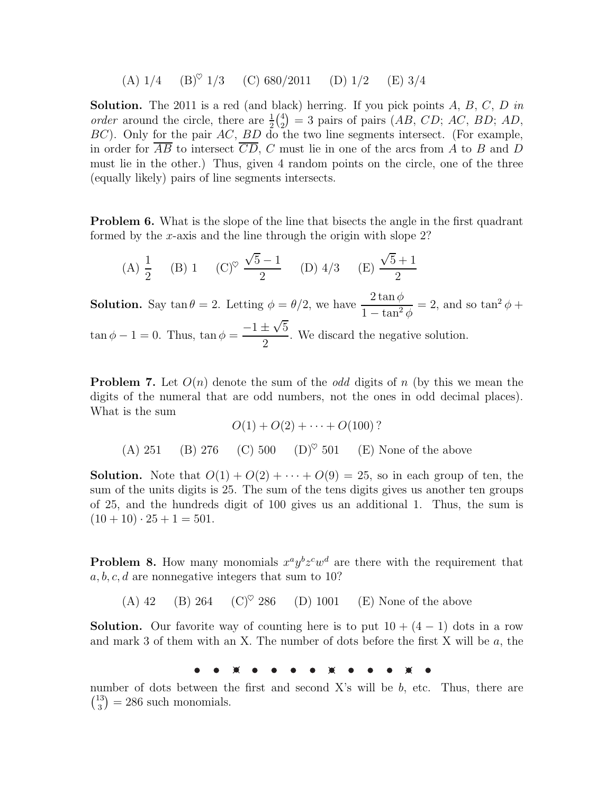(A)  $1/4$  (B)<sup> $\heartsuit$ </sup> 1/3 (C) 680/2011 (D) 1/2 (E) 3/4

**Solution.** The 2011 is a red (and black) herring. If you pick points  $A, B, C, D$  in order around the circle, there are  $\frac{1}{2}$  $\binom{4}{2}$  $\binom{4}{2}$  = 3 pairs of pairs (AB, CD; AC, BD; AD, BC). Only for the pair AC, BD do the two line segments intersect. (For example, in order for  $\overline{AB}$  to intersect  $\overline{CD}$ , C must lie in one of the arcs from A to B and D must lie in the other.) Thus, given 4 random points on the circle, one of the three (equally likely) pairs of line segments intersects.

**Problem 6.** What is the slope of the line that bisects the angle in the first quadrant formed by the x-axis and the line through the origin with slope  $2$ ?

(A) 
$$
\frac{1}{2}
$$
 (B) 1 (C)<sup>°</sup>  $\frac{\sqrt{5}-1}{2}$  (D) 4/3 (E)  $\frac{\sqrt{5}+1}{2}$ 

**Solution.** Say tan  $\theta = 2$ . Letting  $\phi = \theta/2$ , we have  $\frac{2 \tan \phi}{1}$  $1 - \tan^2 \phi$  $= 2$ , and so tan<sup>2</sup>  $\phi$  +  $\tan \phi - 1 = 0$ . Thus,  $\tan \phi =$  $-1 \pm \sqrt{5}$ 2 . We discard the negative solution.

**Problem 7.** Let  $O(n)$  denote the sum of the *odd* digits of n (by this we mean the digits of the numeral that are odd numbers, not the ones in odd decimal places). What is the sum

$$
O(1) + O(2) + \dots + O(100)?
$$
  
(A) 251 (B) 276 (C) 500 (D)° 501 (E) None of the above

**Solution.** Note that  $O(1) + O(2) + \cdots + O(9) = 25$ , so in each group of ten, the sum of the units digits is 25. The sum of the tens digits gives us another ten groups of 25, and the hundreds digit of 100 gives us an additional 1. Thus, the sum is  $(10+10)\cdot 25+1=501.$ 

**Problem 8.** How many monomials  $x^a y^b z^c w^d$  are there with the requirement that  $a, b, c, d$  are nonnegative integers that sum to 10?

(A) 42 (B) 264 (C)<sup> $\heartsuit$ </sup> 286 (D) 1001 (E) None of the above

**Solution.** Our favorite way of counting here is to put  $10 + (4 - 1)$  dots in a row and mark 3 of them with an X. The number of dots before the first X will be a, the

₩

number of dots between the first and second  $X$ 's will be  $b$ , etc. Thus, there are  $\binom{13}{3}$  $\binom{13}{3}$  = 286 such monomials.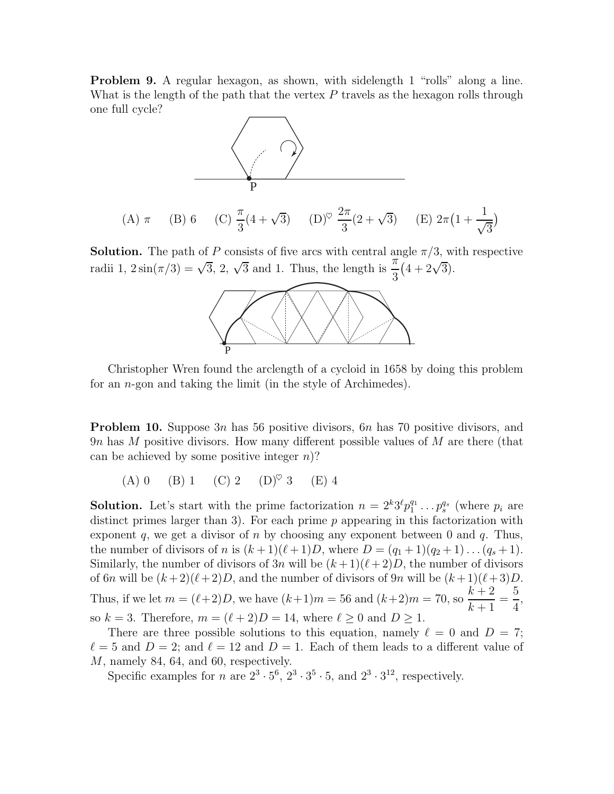Problem 9. A regular hexagon, as shown, with sidelength 1 "rolls" along a line. What is the length of the path that the vertex  $P$  travels as the hexagon rolls through one full cycle?



**Solution.** The path of P consists of five arcs with central angle  $\pi/3$ , with respective radii 1,  $2\sin(\pi/3) = \sqrt{3}$ ,  $2$ ,  $\sqrt{3}$  and 1. Thus, the length is  $\frac{\pi}{2}$ 3  $(4+2\sqrt{3}).$ 



Christopher Wren found the arclength of a cycloid in 1658 by doing this problem for an n-gon and taking the limit (in the style of Archimedes).

**Problem 10.** Suppose 3n has 56 positive divisors, 6n has 70 positive divisors, and 9n has M positive divisors. How many different possible values of M are there (that can be achieved by some positive integer  $n$ ?

(A) 0 (B) 1 (C) 2 (D)<sup> $\heartsuit$ </sup> 3 (E) 4

**Solution.** Let's start with the prime factorization  $n = 2^k 3^{\ell} p_1^{q_1}$  $y_1^{q_1} \ldots y_s^{q_s}$  (where  $p_i$  are distinct primes larger than 3). For each prime  $p$  appearing in this factorization with exponent q, we get a divisor of n by choosing any exponent between 0 and  $q$ . Thus, the number of divisors of n is  $(k+1)(\ell+1)D$ , where  $D = (q_1 + 1)(q_2 + 1) \dots (q_s + 1)$ . Similarly, the number of divisors of  $3n$  will be  $(k+1)(\ell+2)D$ , the number of divisors of 6n will be  $(k+2)(\ell+2)D$ , and the number of divisors of 9n will be  $(k+1)(\ell+3)D$ . Thus, if we let  $m = (\ell+2)D$ , we have  $(k+1)m = 56$  and  $(k+2)m = 70$ , so  $\frac{k+2}{k+1}$  $k+1$ = 5 4 , so  $k = 3$ . Therefore,  $m = (\ell + 2)D = 14$ , where  $\ell \geq 0$  and  $D \geq 1$ .

There are three possible solutions to this equation, namely  $\ell = 0$  and  $D = 7$ ;  $\ell = 5$  and  $D = 2$ ; and  $\ell = 12$  and  $D = 1$ . Each of them leads to a different value of M, namely 84, 64, and 60, respectively.

Specific examples for *n* are  $2^3 \cdot 5^6$ ,  $2^3 \cdot 3^5 \cdot 5$ , and  $2^3 \cdot 3^{12}$ , respectively.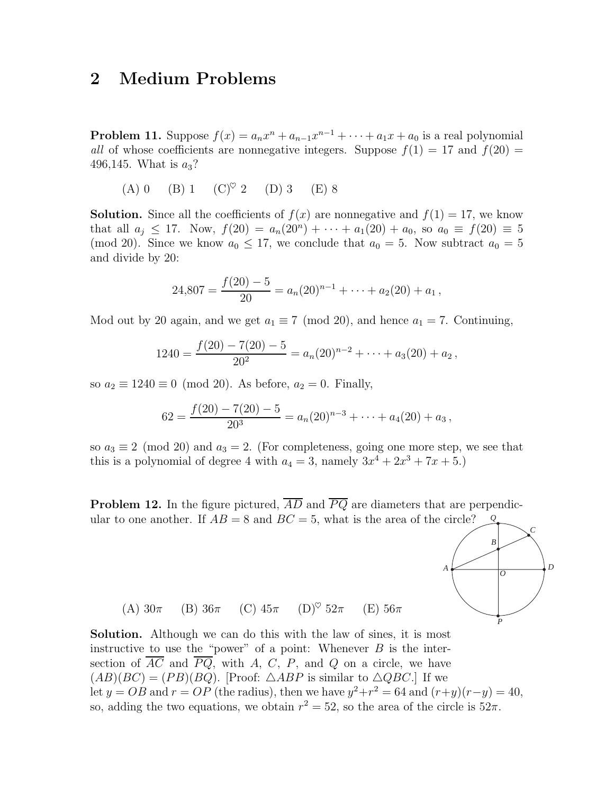## 2 Medium Problems

<span id="page-4-0"></span>**Problem 11.** Suppose  $f(x) = a_n x^n + a_{n-1} x^{n-1} + \cdots + a_1 x + a_0$  is a real polynomial all of whose coefficients are nonnegative integers. Suppose  $f(1) = 17$  and  $f(20) =$ 496,145. What is  $a_3$ ?

(A) 0 (B) 1 (C)<sup> $\heartsuit$ </sup> 2 (D) 3 (E) 8

**Solution.** Since all the coefficients of  $f(x)$  are nonnegative and  $f(1) = 17$ , we know that all  $a_j \leq 17$ . Now,  $f(20) = a_n(20^n) + \cdots + a_1(20) + a_0$ , so  $a_0 \equiv f(20) \equiv 5$ (mod 20). Since we know  $a_0 \leq 17$ , we conclude that  $a_0 = 5$ . Now subtract  $a_0 = 5$ and divide by 20:

$$
24,807 = \frac{f(20) - 5}{20} = a_n(20)^{n-1} + \cdots + a_2(20) + a_1,
$$

Mod out by 20 again, and we get  $a_1 \equiv 7 \pmod{20}$ , and hence  $a_1 = 7$ . Continuing,

$$
1240 = \frac{f(20) - 7(20) - 5}{20^2} = a_n(20)^{n-2} + \cdots + a_3(20) + a_2,
$$

so  $a_2 \equiv 1240 \equiv 0 \pmod{20}$ . As before,  $a_2 = 0$ . Finally,

$$
62 = \frac{f(20) - 7(20) - 5}{20^3} = a_n(20)^{n-3} + \cdots + a_4(20) + a_3,
$$

so  $a_3 \equiv 2 \pmod{20}$  and  $a_3 = 2$ . (For completeness, going one more step, we see that this is a polynomial of degree 4 with  $a_4 = 3$ , namely  $3x^4 + 2x^3 + 7x + 5$ .

**Problem 12.** In the figure pictured,  $\overline{AD}$  and  $\overline{PQ}$  are diameters that are perpendicular to one another. If  $AB = 8$  and  $BC = 5$ , what is the area of the circle? *Q*



(A)  $30\pi$  (B)  $36\pi$  (C)  $45\pi$  (D)<sup> $\heartsuit$ </sup>  $52\pi$  (E)  $56\pi$ 

Solution. Although we can do this with the law of sines, it is most instructive to use the "power" of a point: Whenever  $B$  is the intersection of  $\overline{AC}$  and  $\overline{PQ}$ , with A, C, P, and Q on a circle, we have  $(AB)(BC) = (PB)(BQ)$ . [Proof:  $\triangle ABP$  is similar to  $\triangle QBC$ .] If we let  $y = OB$  and  $r = OP$  (the radius), then we have  $y^2 + r^2 = 64$  and  $(r+y)(r-y) = 40$ , so, adding the two equations, we obtain  $r^2 = 52$ , so the area of the circle is  $52\pi$ .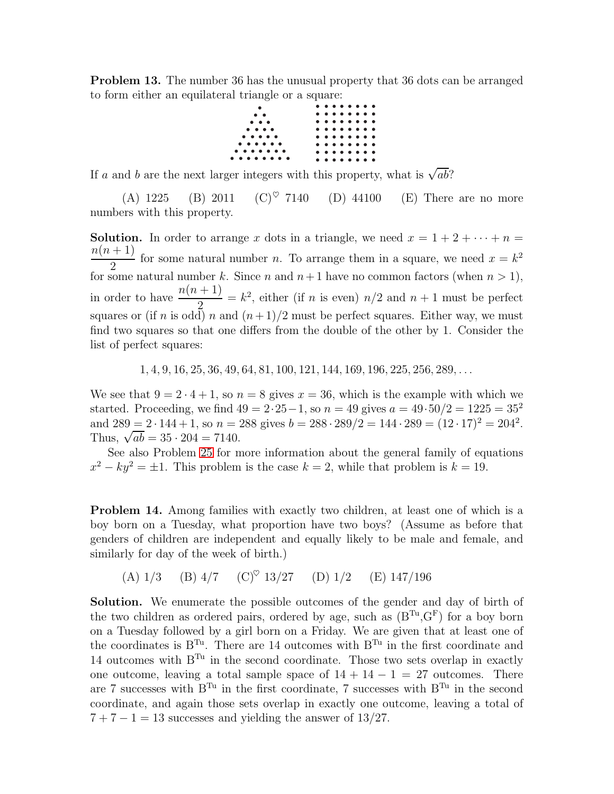**Problem 13.** The number 36 has the unusual property that 36 dots can be arranged to form either an equilateral triangle or a square:



If a and b are the next larger integers with this property, what is  $\sqrt{ab}$ ?

(A) 1225 (B) 2011 (C)<sup> $\heartsuit$ </sup> 7140 (D) 44100 (E) There are no more numbers with this property.

**Solution.** In order to arrange x dots in a triangle, we need  $x = 1 + 2 + \cdots + n =$  $n(n+1)$ 2 for some natural number *n*. To arrange them in a square, we need  $x = k^2$ for some natural number k. Since n and  $n+1$  have no common factors (when  $n > 1$ ), in order to have  $\frac{n(n + 1)}{2}$ 2  $= k<sup>2</sup>$ , either (if *n* is even)  $n/2$  and  $n + 1$  must be perfect squares or (if *n* is odd) *n* and  $(n+1)/2$  must be perfect squares. Either way, we must find two squares so that one differs from the double of the other by 1. Consider the list of perfect squares:

1, 4, 9, 16, 25, 36, 49, 64, 81, 100, 121, 144, 169, 196, 225, 256, 289, . . .

We see that  $9 = 2 \cdot 4 + 1$ , so  $n = 8$  gives  $x = 36$ , which is the example with which we started. Proceeding, we find  $49 = 2 \cdot 25 - 1$ , so  $n = 49$  gives  $a = 49 \cdot 50/2 = 1225 = 35^2$ and  $289 = 2 \cdot 144 + 1$ , so  $n = 288$  gives  $b = 288 \cdot 289/2 = 144 \cdot 289 = (12 \cdot 17)^2 = 204^2$ . Thus,  $\sqrt{ab} = 35 \cdot 204 = 7140$ .

See also Problem [25](#page-12-0) for more information about the general family of equations  $x^2 - ky^2 = \pm 1$ . This problem is the case  $k = 2$ , while that problem is  $k = 19$ .

<span id="page-5-0"></span>Problem 14. Among families with exactly two children, at least one of which is a boy born on a Tuesday, what proportion have two boys? (Assume as before that genders of children are independent and equally likely to be male and female, and similarly for day of the week of birth.)

(A) 
$$
1/3
$$
 (B)  $4/7$  (C)<sup>°</sup>  $13/27$  (D)  $1/2$  (E)  $147/196$ 

Solution. We enumerate the possible outcomes of the gender and day of birth of the two children as ordered pairs, ordered by age, such as  $(B^{Tu}, G^F)$  for a boy born on a Tuesday followed by a girl born on a Friday. We are given that at least one of the coordinates is  $B^{Tu}$ . There are 14 outcomes with  $B^{Tu}$  in the first coordinate and 14 outcomes with  $B^{Tu}$  in the second coordinate. Those two sets overlap in exactly one outcome, leaving a total sample space of  $14 + 14 - 1 = 27$  outcomes. There are 7 successes with  $B^{Tu}$  in the first coordinate, 7 successes with  $B^{Tu}$  in the second coordinate, and again those sets overlap in exactly one outcome, leaving a total of  $7 + 7 - 1 = 13$  successes and yielding the answer of 13/27.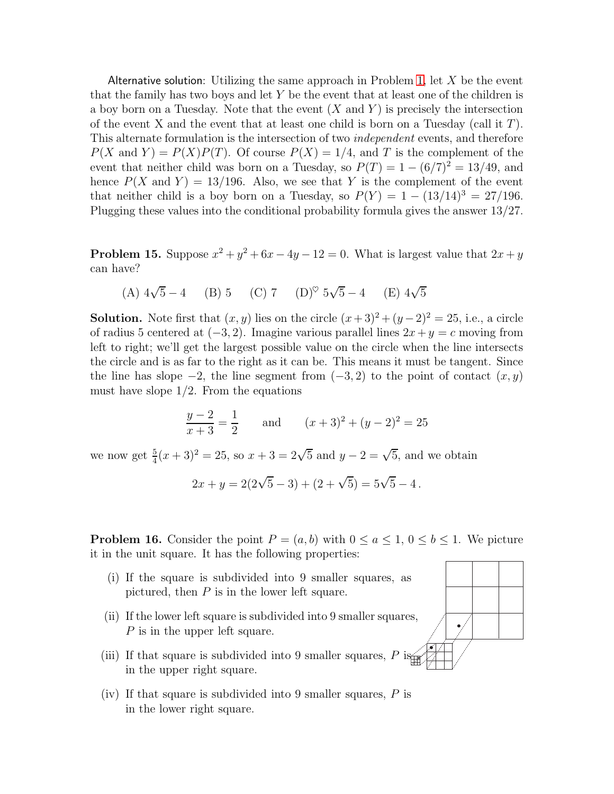Alternative solution: Utilizing the same approach in Problem [1,](#page-0-0) let  $X$  be the event that the family has two boys and let  $Y$  be the event that at least one of the children is a boy born on a Tuesday. Note that the event  $(X \text{ and } Y)$  is precisely the intersection of the event X and the event that at least one child is born on a Tuesday (call it  $T$ ). This alternate formulation is the intersection of two independent events, and therefore  $P(X \text{ and } Y) = P(X)P(T)$ . Of course  $P(X) = 1/4$ , and T is the complement of the event that neither child was born on a Tuesday, so  $P(T) = 1 - (6/7)^2 = 13/49$ , and hence  $P(X \text{ and } Y) = 13/196$ . Also, we see that Y is the complement of the event that neither child is a boy born on a Tuesday, so  $P(Y) = 1 - (13/14)^3 = 27/196$ . Plugging these values into the conditional probability formula gives the answer 13/27.

**Problem 15.** Suppose  $x^2 + y^2 + 6x - 4y - 12 = 0$ . What is largest value that  $2x + y$ can have?

(A) 
$$
4\sqrt{5} - 4
$$
 (B) 5 (C) 7 (D)<sup>°</sup>  $5\sqrt{5} - 4$  (E)  $4\sqrt{5}$ 

**Solution.** Note first that  $(x, y)$  lies on the circle  $(x+3)^2 + (y-2)^2 = 25$ , i.e., a circle of radius 5 centered at  $(-3, 2)$ . Imagine various parallel lines  $2x + y = c$  moving from left to right; we'll get the largest possible value on the circle when the line intersects the circle and is as far to the right as it can be. This means it must be tangent. Since the line has slope  $-2$ , the line segment from  $(-3, 2)$  to the point of contact  $(x, y)$ must have slope  $1/2$ . From the equations

$$
\frac{y-2}{x+3} = \frac{1}{2} \quad \text{and} \quad (x+3)^2 + (y-2)^2 = 25
$$

we now get  $\frac{5}{4}(x+3)^2 = 25$ , so  $x + 3 = 2\sqrt{5}$  and  $y - 2 = \sqrt{5}$ , and we obtain

$$
2x + y = 2(2\sqrt{5} - 3) + (2 + \sqrt{5}) = 5\sqrt{5} - 4.
$$

**Problem 16.** Consider the point  $P = (a, b)$  with  $0 \le a \le 1$ ,  $0 \le b \le 1$ . We picture it in the unit square. It has the following properties:

- (i) If the square is subdivided into 9 smaller squares, as pictured, then  $P$  is in the lower left square.
- (ii) If the lower left square is subdivided into 9 smaller squares, P is in the upper left square.
- (iii) If that square is subdivided into 9 smaller squares, P is in the upper right square.
- (iv) If that square is subdivided into 9 smaller squares,  $P$  is in the lower right square.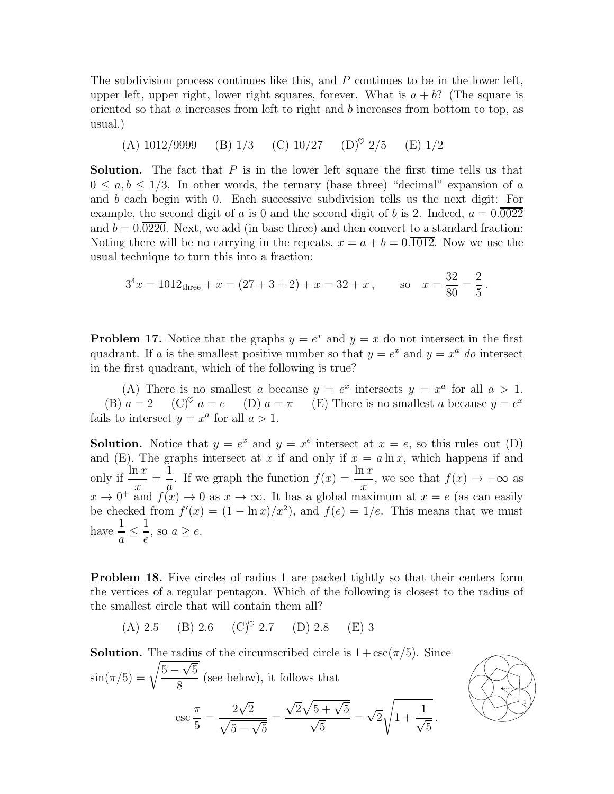The subdivision process continues like this, and P continues to be in the lower left, upper left, upper right, lower right squares, forever. What is  $a + b$ ? (The square is oriented so that  $a$  increases from left to right and  $b$  increases from bottom to top, as usual.)

(A) 
$$
1012/9999
$$
 (B)  $1/3$  (C)  $10/27$  (D)<sup>°</sup>  $2/5$  (E)  $1/2$ 

**Solution.** The fact that  $P$  is in the lower left square the first time tells us that  $0 \leq a, b \leq 1/3$ . In other words, the ternary (base three) "decimal" expansion of a and b each begin with 0. Each successive subdivision tells us the next digit: For example, the second digit of a is 0 and the second digit of b is 2. Indeed,  $a = 0.0022$ and  $b = 0.0220$ . Next, we add (in base three) and then convert to a standard fraction: Noting there will be no carrying in the repeats,  $x = a + b = 0.\overline{1012}$ . Now we use the usual technique to turn this into a fraction:

$$
3^4x = 1012
$$
<sub>three</sub> + x = (27 + 3 + 2) + x = 32 + x, so  $x = \frac{32}{80} = \frac{2}{5}$ .

**Problem 17.** Notice that the graphs  $y = e^x$  and  $y = x$  do not intersect in the first quadrant. If a is the smallest positive number so that  $y = e^x$  and  $y = x^a$  do intersect in the first quadrant, which of the following is true?

(A) There is no smallest a because  $y = e^x$  intersects  $y = x^a$  for all  $a > 1$ . (B)  $a = 2$  (C)<sup> $\heartsuit$ </sup>  $a = e$  (D)  $a = \pi$  (E) There is no smallest a because  $y = e^x$ fails to intersect  $y = x^a$  for all  $a > 1$ .

**Solution.** Notice that  $y = e^x$  and  $y = x^e$  intersect at  $x = e$ , so this rules out (D) and (E). The graphs intersect at x if and only if  $x = a \ln x$ , which happens if and only if  $\frac{\ln x}{x}$  $\boldsymbol{x}$ = 1 a . If we graph the function  $f(x) = \frac{\ln x}{x}$  $\frac{d}{dx}$ , we see that  $f(x) \to -\infty$  as  $x \to 0^+$  and  $f(x) \to 0$  as  $x \to \infty$ . It has a global maximum at  $x = e$  (as can easily be checked from  $f'(x) = (1 - \ln x)/x^2$ , and  $f(e) = 1/e$ . This means that we must have  $\frac{1}{1}$  $\frac{1}{a} \leq$ 1  $\frac{1}{e}$ , so  $a \geq e$ .

<span id="page-7-0"></span>**Problem 18.** Five circles of radius 1 are packed tightly so that their centers form the vertices of a regular pentagon. Which of the following is closest to the radius of the smallest circle that will contain them all?

(A) 2.5 (B) 2.6 (C)♥ 2.7 (D) 2.8 (E) 3

**Solution.** The radius of the circumscribed circle is  $1 + \csc(\pi/5)$ . Since  $\sin(\pi/5) = \sqrt{\frac{5-\sqrt{5}}{2}}$ 8 (see below), it follows that csc π 5 =  $2\sqrt{2}$  $\sqrt{5-\sqrt{5}}$ =  $\sqrt{2}\sqrt{5+\sqrt{5}}$  $\sqrt{5}$  $=\sqrt{2}$  $\vert$ 1 + 1  $\sqrt{5}$ .

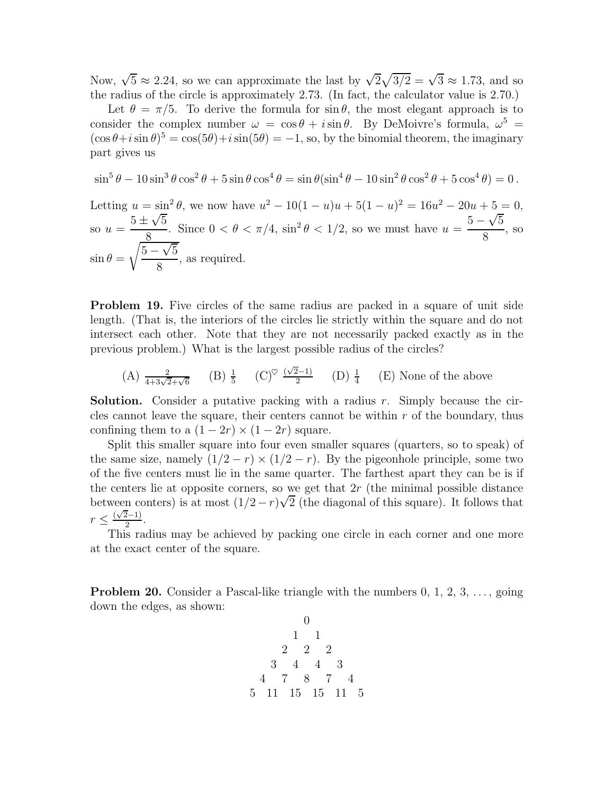Now,  $\sqrt{5} \approx 2.24$ , so we can approximate the last by  $\sqrt{2}\sqrt{3/2} = \sqrt{3} \approx 1.73$ , and so the radius of the circle is approximately 2.73. (In fact, the calculator value is 2.70.)

Let  $\theta = \pi/5$ . To derive the formula for sin  $\theta$ , the most elegant approach is to consider the complex number  $\omega = \cos \theta + i \sin \theta$ . By DeMoivre's formula,  $\omega^5$  =  $(\cos \theta + i \sin \theta)^5 = \cos(5\theta) + i \sin(5\theta) = -1$ , so, by the binomial theorem, the imaginary part gives us

$$
\sin^5 \theta - 10 \sin^3 \theta \cos^2 \theta + 5 \sin \theta \cos^4 \theta = \sin \theta (\sin^4 \theta - 10 \sin^2 \theta \cos^2 \theta + 5 \cos^4 \theta) = 0.
$$

Letting  $u = \sin^2 \theta$ , we now have  $u^2 - 10(1 - u)u + 5(1 - u)^2 = 16u^2 - 20u + 5 = 0$ , so  $u = \frac{5 \pm \sqrt{5}}{8}$ 8 Since  $0 < \theta < \pi/4$ ,  $\sin^2 \theta < 1/2$ , so we must have  $u = \frac{5 - \sqrt{5}}{8}$ 8 , so  $\sin \theta =$  $\sqrt{5-\sqrt{5}}$ 8 , as required.

<span id="page-8-0"></span>**Problem 19.** Five circles of the same radius are packed in a square of unit side length. (That is, the interiors of the circles lie strictly within the square and do not intersect each other. Note that they are not necessarily packed exactly as in the previous problem.) What is the largest possible radius of the circles?

(A) 
$$
\frac{2}{4+3\sqrt{2}+\sqrt{6}}
$$
 (B)  $\frac{1}{5}$  (C)<sup>°</sup>  $\frac{(\sqrt{2}-1)}{2}$  (D)  $\frac{1}{4}$  (E) None of the above

**Solution.** Consider a putative packing with a radius r. Simply because the circles cannot leave the square, their centers cannot be within  $r$  of the boundary, thus confining them to a  $(1-2r) \times (1-2r)$  square.

Split this smaller square into four even smaller squares (quarters, so to speak) of the same size, namely  $(1/2 - r) \times (1/2 - r)$ . By the pigeonhole principle, some two of the five centers must lie in the same quarter. The farthest apart they can be is if the centers lie at opposite corners, so we get that  $2r$  (the minimal possible distance between conters) is at most  $(1/2 - r)\sqrt{2}$  (the diagonal of this square). It follows that  $r \leq \frac{(\sqrt{2}-1)}{2}.$ 

This radius may be achieved by packing one circle in each corner and one more at the exact center of the square.

**Problem 20.** Consider a Pascal-like triangle with the numbers  $0, 1, 2, 3, \ldots$ , going down the edges, as shown:

0 1 1 2 2 2 3 4 4 3 4 7 8 7 4 5 11 15 15 11 5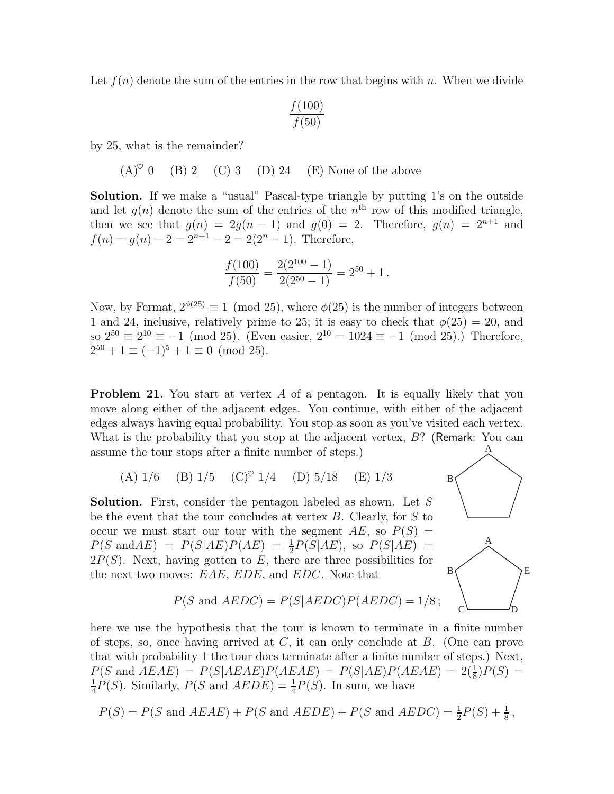Let  $f(n)$  denote the sum of the entries in the row that begins with n. When we divide

$$
\frac{f(100)}{f(50)}
$$

by 25, what is the remainder?

 $(A)^\heartsuit$  0 (B) 2 (C) 3 (D) 24 (E) None of the above

Solution. If we make a "usual" Pascal-type triangle by putting 1's on the outside and let  $g(n)$  denote the sum of the entries of the  $n<sup>th</sup>$  row of this modified triangle, then we see that  $g(n) = 2g(n-1)$  and  $g(0) = 2$ . Therefore,  $g(n) = 2^{n+1}$  and  $f(n) = g(n) - 2 = 2^{n+1} - 2 = 2(2^n - 1)$ . Therefore,

$$
\frac{f(100)}{f(50)} = \frac{2(2^{100} - 1)}{2(2^{50} - 1)} = 2^{50} + 1.
$$

Now, by Fermat,  $2^{\phi(25)} \equiv 1 \pmod{25}$ , where  $\phi(25)$  is the number of integers between 1 and 24, inclusive, relatively prime to 25; it is easy to check that  $\phi(25) = 20$ , and so  $2^{50} \equiv 2^{10} \equiv -1 \pmod{25}$ . (Even easier,  $2^{10} = 1024 \equiv -1 \pmod{25}$ .) Therefore,  $2^{50} + 1 \equiv (-1)^5 + 1 \equiv 0 \pmod{25}.$ 

<span id="page-9-0"></span>**Problem 21.** You start at vertex A of a pentagon. It is equally likely that you move along either of the adjacent edges. You continue, with either of the adjacent edges always having equal probability. You stop as soon as you've visited each vertex. What is the probability that you stop at the adjacent vertex,  $B$ ? (Remark: You can assume the tour stops after a finite number of steps.)

(A) 
$$
1/6
$$
 (B)  $1/5$  (C)<sup>°</sup>  $1/4$  (D)  $5/18$  (E)  $1/3$  B

Solution. First, consider the pentagon labeled as shown. Let S be the event that the tour concludes at vertex B. Clearly, for S to occur we must start our tour with the segment  $AE$ , so  $P(S)$  =  $P(S \text{ and } AE) = P(S|AE)P(AE) = \frac{1}{2}P(S|AE)$ , so  $P(S|AE) =$  $2P(S)$ . Next, having gotten to E, there are three possibilities for the next two moves:  $EAE$ ,  $EDE$ , and  $E$ 

byes: *EAE*, *EDE*, and *EDC*. Note that

\n
$$
P(S \text{ and } AEDC) = P(S|AEDC)P(AEDC) = 1/8;
$$

A

E

 $C \longrightarrow D$ 

here we use the hypothesis that the tour is known to terminate in a finite number of steps, so, once having arrived at  $C$ , it can only conclude at  $B$ . (One can prove that with probability 1 the tour does terminate after a finite number of steps.) Next,  $P(S \text{ and } AEAE) = P(S|AEAE)P(AEAE) = P(S|AE)P(AEAE) = 2(\frac{1}{8})P(S) =$ 1  $\frac{1}{4}P(S)$ . Similarly,  $P(S \text{ and } AEDE) = \frac{1}{4}P(S)$ . In sum, we have

$$
P(S) = P(S \text{ and } AEAE) + P(S \text{ and } AEDE) + P(S \text{ and } AEDC) = \frac{1}{2}P(S) + \frac{1}{8},
$$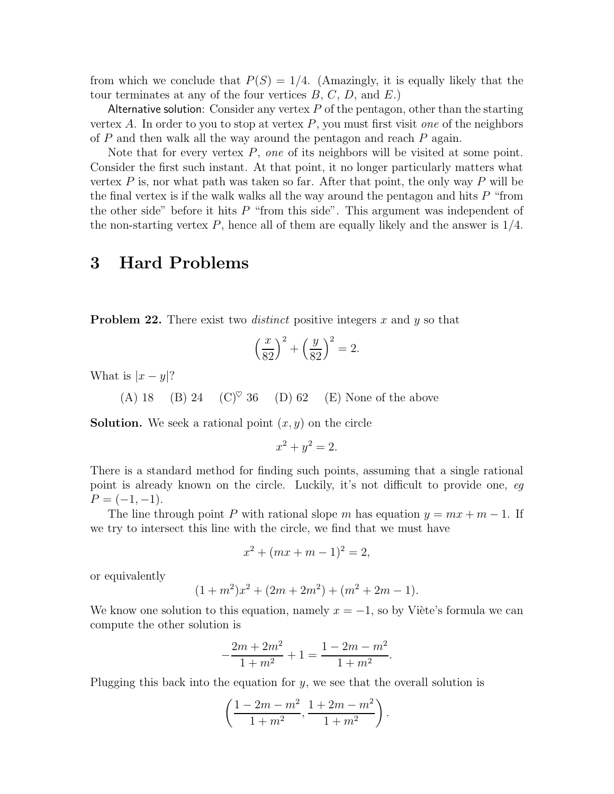from which we conclude that  $P(S) = 1/4$ . (Amazingly, it is equally likely that the tour terminates at any of the four vertices  $B, C, D$ , and  $E$ .)

Alternative solution: Consider any vertex  $P$  of the pentagon, other than the starting vertex A. In order to you to stop at vertex  $P$ , you must first visit one of the neighbors of  $P$  and then walk all the way around the pentagon and reach  $P$  again.

Note that for every vertex  $P$ , one of its neighbors will be visited at some point. Consider the first such instant. At that point, it no longer particularly matters what vertex  $P$  is, nor what path was taken so far. After that point, the only way  $P$  will be the final vertex is if the walk walks all the way around the pentagon and hits  $P$  "from the other side" before it hits  $P$  "from this side". This argument was independent of the non-starting vertex  $P$ , hence all of them are equally likely and the answer is  $1/4$ .

## 3 Hard Problems

<span id="page-10-0"></span>**Problem 22.** There exist two *distinct* positive integers x and y so that

$$
\left(\frac{x}{82}\right)^2 + \left(\frac{y}{82}\right)^2 = 2.
$$

What is  $|x-y|$ ?

(A) 18 (B) 24 (C)<sup> $\heartsuit$ </sup> 36 (D) 62 (E) None of the above

**Solution.** We seek a rational point  $(x, y)$  on the circle

$$
x^2 + y^2 = 2.
$$

There is a standard method for finding such points, assuming that a single rational point is already known on the circle. Luckily, it's not difficult to provide one, eg  $P = (-1, -1).$ 

The line through point P with rational slope m has equation  $y = mx + m - 1$ . If we try to intersect this line with the circle, we find that we must have

$$
x^2 + (mx + m - 1)^2 = 2,
$$

or equivalently

$$
(1+m^2)x^2 + (2m+2m^2) + (m^2+2m-1).
$$

We know one solution to this equation, namely  $x = -1$ , so by Viète's formula we can compute the other solution is

$$
-\frac{2m+2m^2}{1+m^2} + 1 = \frac{1-2m-m^2}{1+m^2}
$$

.

Plugging this back into the equation for  $y$ , we see that the overall solution is

$$
\left(\frac{1-2m-m^2}{1+m^2}, \frac{1+2m-m^2}{1+m^2}\right).
$$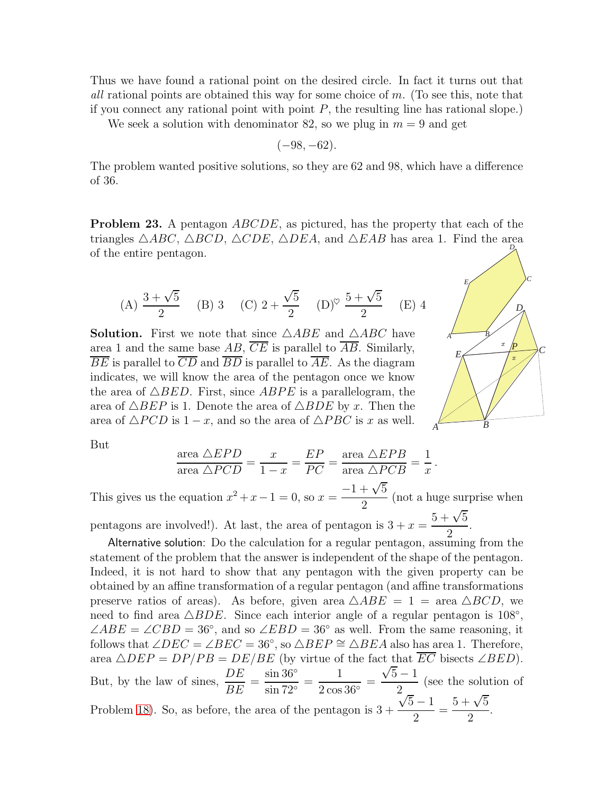Thus we have found a rational point on the desired circle. In fact it turns out that all rational points are obtained this way for some choice of m. (To see this, note that if you connect any rational point with point  $P$ , the resulting line has rational slope.)

We seek a solution with denominator 82, so we plug in  $m = 9$  and get

$$
(-98, -62).
$$

The problem wanted positive solutions, so they are 62 and 98, which have a difference of 36.

**Problem 23.** A pentagon  $ABCDE$ , as pictured, has the property that each of the triangles  $\triangle ABC$ ,  $\triangle BCD$ ,  $\triangle CDE$ ,  $\triangle DEA$ , and  $\triangle EAB$  has area 1. Find the area of the entire pentagon. *D*

(A) 
$$
\frac{3+\sqrt{5}}{2}
$$
 (B) 3 (C)  $2+\frac{\sqrt{5}}{2}$  (D)<sup>°</sup>  $\frac{5+\sqrt{5}}{2}$  (E) 4

**Solution.** First we note that since  $\triangle ABE$  and  $\triangle ABC$  have area 1 and the same base  $AB$ ,  $\overline{CE}$  is parallel to  $\overline{AB}$ . Similarly,  $\overline{BE}$  is parallel to  $\overline{CD}$  and  $\overline{BD}$  is parallel to  $\overline{AE}$ . As the diagram indicates, we will know the area of the pentagon once we know the area of  $\triangle BED$ . First, since  $ABPE$  is a parallelogram, the area of  $\triangle BEP$  is 1. Denote the area of  $\triangle BDE$  by x. Then the area of  $\triangle PCD$  is  $1-x$ , and so the area of  $\triangle PBC$  is x as well.



But

$$
\frac{\text{area } \triangle EPD}{\text{area } \triangle PCD} = \frac{x}{1-x} = \frac{EP}{PC} = \frac{\text{area } \triangle EPB}{\text{area } \triangle PCB} = \frac{1}{x}.
$$

This gives us the equation  $x^2 + x - 1 = 0$ , so  $x =$  $-1+\sqrt{5}$ 2 (not a huge surprise when pentagons are involved!). At last, the area of pentagon is  $3 + x =$  $5 + \sqrt{5}$ .

2 Alternative solution: Do the calculation for a regular pentagon, assuming from the statement of the problem that the answer is independent of the shape of the pentagon. Indeed, it is not hard to show that any pentagon with the given property can be obtained by an affine transformation of a regular pentagon (and affine transformations preserve ratios of areas). As before, given area  $\triangle ABE = 1 = \text{area } \triangle BCD$ , we need to find area  $\triangle BDE$ . Since each interior angle of a regular pentagon is 108<sup>°</sup>,  $\angle ABE = \angle CBD = 36^\circ$ , and so  $\angle EBD = 36^\circ$  as well. From the same reasoning, it follows that ∠ $DEC = \angle BEC = 36°$ , so  $\triangle BEP \cong \triangle BEA$  also has area 1. Therefore, area  $\triangle DEP = DP/PB = DE/BE$  (by virtue of the fact that  $\overline{EC}$  bisects  $\angle BED$ ). But, by the law of sines,  $\frac{DE}{DE}$ BE =  $\sin 36^\circ$ sin 72◦ = 1  $2\cos 36^\circ$ =  $\sqrt{5}-1$ 2 (see the solution of Problem [18\)](#page-7-0). So, as before, the area of the pentagon is  $3 + \frac{\sqrt{5}-1}{2}$ √ 2 =  $5 + \sqrt{5}$ 2 .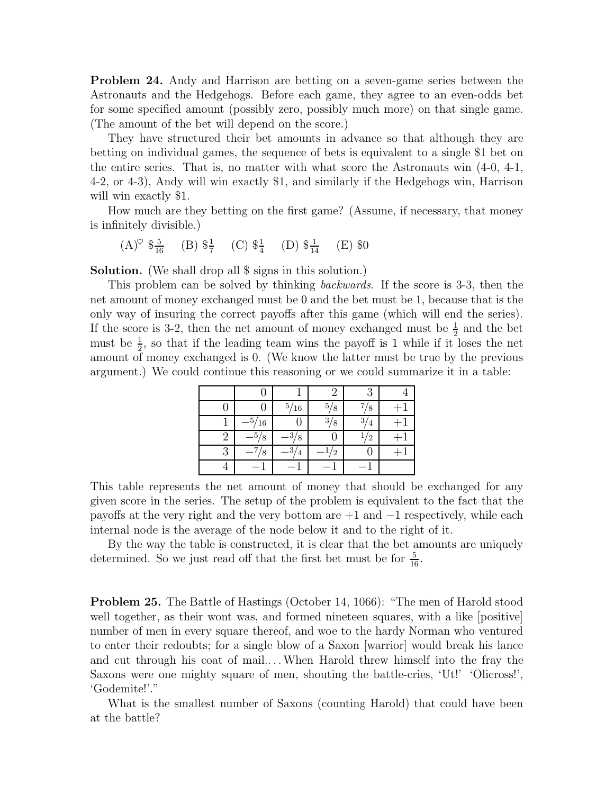<span id="page-12-1"></span>Problem 24. Andy and Harrison are betting on a seven-game series between the Astronauts and the Hedgehogs. Before each game, they agree to an even-odds bet for some specified amount (possibly zero, possibly much more) on that single game. (The amount of the bet will depend on the score.)

They have structured their bet amounts in advance so that although they are betting on individual games, the sequence of bets is equivalent to a single \$1 bet on the entire series. That is, no matter with what score the Astronauts win (4-0, 4-1, 4-2, or 4-3), Andy will win exactly \$1, and similarly if the Hedgehogs win, Harrison will win exactly \$1.

How much are they betting on the first game? (Assume, if necessary, that money is infinitely divisible.)

$$
(A)^{\heartsuit} \ \$\frac{5}{16} \quad (B) \ \$\frac{1}{7} \quad (C) \ \$\frac{1}{4} \quad (D) \ \$\frac{1}{14} \quad (E) \ \$0
$$

Solution. (We shall drop all \$ signs in this solution.)

This problem can be solved by thinking backwards. If the score is 3-3, then the net amount of money exchanged must be 0 and the bet must be 1, because that is the only way of insuring the correct payoffs after this game (which will end the series). If the score is 3-2, then the net amount of money exchanged must be  $\frac{1}{2}$  and the bet must be  $\frac{1}{2}$ , so that if the leading team wins the payoff is 1 while if it loses the net amount of money exchanged is 0. (We know the latter must be true by the previous argument.) We could continue this reasoning or we could summarize it in a table:

|   |           | 5/16     | 5/8            | 8              |  |
|---|-----------|----------|----------------|----------------|--|
|   | .5<br>/16 |          | 3/8            | 3/4            |  |
| 2 | 8         | 8        |                | $\overline{2}$ |  |
| 3 | 8         | ാ<br>' 4 | $\overline{2}$ |                |  |
|   |           |          |                |                |  |

This table represents the net amount of money that should be exchanged for any given score in the series. The setup of the problem is equivalent to the fact that the payoffs at the very right and the very bottom are  $+1$  and  $-1$  respectively, while each internal node is the average of the node below it and to the right of it.

By the way the table is constructed, it is clear that the bet amounts are uniquely determined. So we just read off that the first bet must be for  $\frac{5}{16}$ .

<span id="page-12-0"></span>Problem 25. The Battle of Hastings (October 14, 1066): "The men of Harold stood well together, as their wont was, and formed nineteen squares, with a like [positive] number of men in every square thereof, and woe to the hardy Norman who ventured to enter their redoubts; for a single blow of a Saxon [warrior] would break his lance and cut through his coat of mail.. . .When Harold threw himself into the fray the Saxons were one mighty square of men, shouting the battle-cries, 'Ut!' 'Olicross!', 'Godemite!'."

What is the smallest number of Saxons (counting Harold) that could have been at the battle?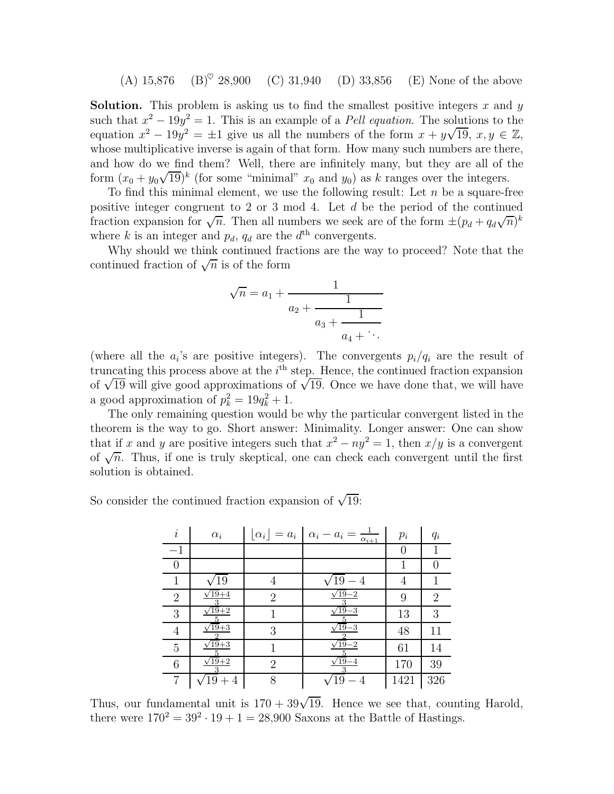(A)  $15,876$  (B)<sup> $\heartsuit$ </sup> 28,900 (C) 31,940 (D) 33,856 (E) None of the above

**Solution.** This problem is asking us to find the smallest positive integers x and y such that  $x^2 - 19y^2 = 1$ . This is an example of a *Pell equation*. The solutions to the equation  $x^2 - 19y^2 = \pm 1$  give us all the numbers of the form  $x + y\sqrt{19}$ ,  $x, y \in \mathbb{Z}$ , whose multiplicative inverse is again of that form. How many such numbers are there, and how do we find them? Well, there are infinitely many, but they are all of the form  $(x_0 + y_0\sqrt{19})^k$  (for some "minimal"  $x_0$  and  $y_0$ ) as k ranges over the integers.

To find this minimal element, we use the following result: Let  $n$  be a square-free positive integer congruent to 2 or 3 mod 4. Let d be the period of the continued fraction expansion for  $\sqrt{n}$ . Then all numbers we seek are of the form  $\pm (p_d + q_d\sqrt{n})^k$ where k is an integer and  $p_d$ ,  $q_d$  are the  $d<sup>th</sup>$  convergents.

Why should we think continued fractions are the way to proceed? Note that the continued fraction of  $\sqrt{n}$  is of the form

$$
\sqrt{n} = a_1 + \cfrac{1}{a_2 + \cfrac{1}{a_3 + \cfrac{1}{a_4 + \ddots}}}
$$

(where all the  $a_i$ 's are positive integers). The convergents  $p_i/q_i$  are the result of truncating this process above at the  $i<sup>th</sup>$  step. Hence, the continued fraction expansion of  $\sqrt{19}$  will give good approximations of  $\sqrt{19}$ . Once we have done that, we will have a good approximation of  $p_k^2 = 19q_k^2 + 1$ .

The only remaining question would be why the particular convergent listed in the theorem is the way to go. Short answer: Minimality. Longer answer: One can show that if x and y are positive integers such that  $x^2 - ny^2 = 1$ , then  $x/y$  is a convergent of  $\sqrt{n}$ . Thus, if one is truly skeptical, one can check each convergent until the first solution is obtained.

So consider the continued fraction expansion of  $\sqrt{19}$ :

| $\dot{i}$        | $\alpha_i$         |                | $\lfloor \alpha_i \rfloor = a_i \mid \alpha_i - a_i = 0$<br>$\alpha_{i+1}$ | $p_i$    | $q_i$            |
|------------------|--------------------|----------------|----------------------------------------------------------------------------|----------|------------------|
| $-1$             |                    |                |                                                                            | $\theta$ |                  |
| $\left( \right)$ |                    |                |                                                                            | 1        | $\left( \right)$ |
| 1                | 19                 | 4              | $19 - 4$                                                                   | 4        | 1                |
| $\overline{2}$   | $\sqrt{19+4}$      | $\overline{2}$ | $\sqrt{19} - 2$<br>3                                                       | 9        | $\overline{2}$   |
| 3                | $\sqrt{19}+2$<br>5 |                | $\sqrt{19-3}$<br>5                                                         | 13       | 3                |
| $\overline{4}$   | $\sqrt{19}+3$      | 3              | $\sqrt{19}-3$                                                              | 48       | 11               |
| 5                | $\sqrt{19}+3$      |                | $\sqrt{19} - 2$                                                            | 61       | 14               |
| 6                | $\sqrt{19+2}$      | $\overline{2}$ | $\sqrt{19} - 4$<br>3                                                       | 170      | 39               |
| 7                | $19 + 4$           | 8              | $19 - 4$                                                                   | 1421     | 326              |

Thus, our fundamental unit is  $170 + 39\sqrt{19}$ . Hence we see that, counting Harold, there were  $170^2 = 39^2 \cdot 19 + 1 = 28,900$  Saxons at the Battle of Hastings.